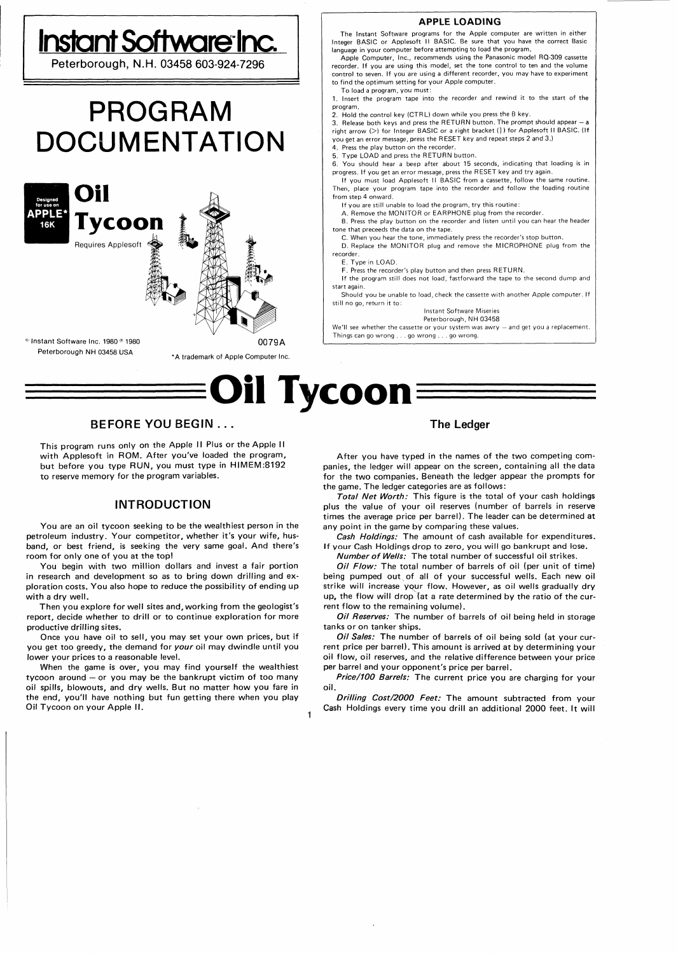

## BEFORE YOU BEGIN ...

This program runs only on the Apple II Plus or the Apple II with Applesoft in ROM. After you've loaded the program, but before you type RUN, you must type in HIMEM:8192 to reserve memory for the program variables.

# INTRODUCTION

You are an oil tycoon seeking to be the wealthiest person in the petroleum industry. Your competitor, whether it's your wife, husband, or best friend, is seeking the very same goal. And there's room for only one of you at the top!

You begin with two million dollars and invest a fair portion in research and development so as to bring down drilling and exploration costs. You also hope to reduce the possibility of ending up with a dry well.

Then you explore for well sites and, working from the geologist's report, decide whether to drill or to continue exploration for more productive drilling sites.

Once you have oil to sell, you may set your own prices, but if you get too greedy, the demand for *your* oil may dwindle until you lower your prices to a reasonable level.

When the game is over, you may find yourself the wealthiest tycoon around - or you may be the bankrupt victim of too many oil spills, blowouts, and dry wells. But no matter how you fare in the end, you'll have nothing but fun getting there when you play Oil Tycoon on your Apple II.

## The Ledger

After you have typed in the names of the two competing companies, the ledger will appear on the screen, containing all the data for the two companies. Beneath the ledger appear the prompts for the game. The ledger categories are as follows:

*Total Net Worth:* This figure is the total of your cash holdings plus the value of your oil reserves (number of barrels in reserve times the average price per barrel). The leader can be determined at any point in the game by comparing these values.

*Cash Holdings:* The amount of cash available for expenditures. your Cash Holdings drop to zero, you will go bankrupt and lose.

*Number of Wells:* The total number of successful oil strikes.

*Oil Flow:* The total number of barrels of oil (per unit of time) being pumped out, of all of your successful wells. Each new oil strike will increase yqur flow. However, as oil wells gradually dry up, the flow will drop (at a rate determined by the ratio of the current flow to the remaining volume).

Oil Reserves: The number of barrels of oil being held in storage tanks or on tanker ships.

*Oil Sales:* The number of barrels of oil being sold (at your current price per barrel). This amount is arrived at by determining your oil flow, oil reserves, and the relative difference between your price per barrel and your opponent's price per barrel.

*Price/100 Barrels:* The current price you are charging for your oil.

*Drilling Cost/2000 Feet:* The amount subtracted from your Cash Holdings every time you drill an additional 2000 feet. It will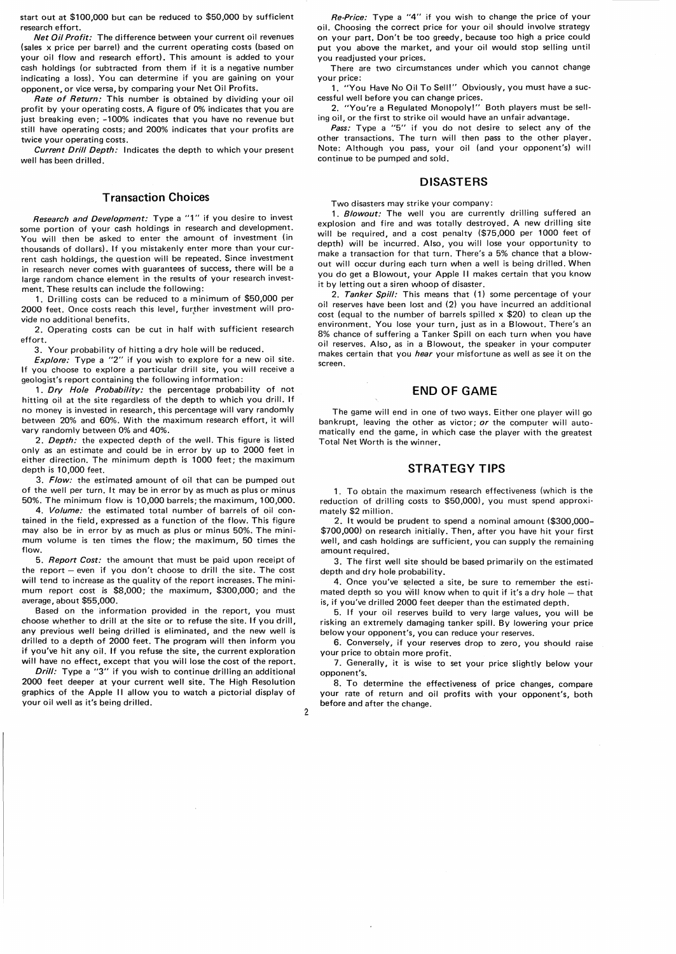start out at \$100,000 but can be reduced to \$50,000 by sufficient research effort.

*Net Oil Profit:* The difference between your current oil revenues (sales x price per barrel) and the current operating costs (based on your oil flow and research effort). This amount is added to your cash holdings (or subtracted from them if it is a negative number indicating a loss). You can determine if you are gaining on your opponent, or vice versa, by comparing your Net Oil Profits.

*Rate of Return:* This number is obtained by dividing your oil profit by your operating costs. A figure of 0% indicates that you are just breaking even; -100% indicates that you have no revenue but still have operating costs; and 200% indicates that your profits are twice your operating costs.

*Current Drill Depth:* Indicates the depth to which your present well has been drilled.

### **Transaction Choices**

*Research and Development:* Type a "1" if you desire to invest some portion of your cash holdings in research and development. You will then be asked to enter the amount of investment (in thousands of dollars). If you mistakenly enter more than your current cash holdings, the question will be repeated. Since investment in research never comes with guarantees of success, there will be a large random chance element in the results of your research investment. These results can include the following:

1. Drilling costs can be reduced to a minimum of \$50,000 per 2000 feet. Once costs reach this level, fur;ther investment will provide no additional benefits.

2. Operating costs can be cut in half with sufficient research effort.

3. Your probability of hitting a dry hole will be reduced.

*Explore:* Type a "2" if you wish to explore for a new oil site. If you choose to explore a particular drill site, you will receive a geologist's report containing the following information:

1. *Dry Hole Probability:* the percentage probability of not hitting oil at the site regardless of the depth to which you drill. If no money is invested in research, this percentage will vary randomly between 20% and 60%. With the maximum research effort, it will vary randomly between 0% and 40%.

2. *Depth:* the expected depth of the well. This figure is listed only as an estimate and could be in error by up to 2000 feet in either direction. The minimum depth is 1000 feet; the maximum depth is 10,000 feet.

3. Flow: the estimated amount of oil that can be pumped out of the well per turn. It may be in error by as much as plus or minus 50%. The minimum flow is 10,000 barrels; the maximum, 100,000.

4. *Volume:* the estimated total number of barrels of oil contained in the field, expressed as a function of the flow. This figure may also be in error by as much as plus or minus 50%. The minimum volume is ten times the flow; the maximum, 50 times the flow.

5. *Report Cost:* the amount that must be paid upon receipt of the report  $-$  even if you don't choose to drill the site. The cost will tend to increase as the quality of the report increases. The minimum report cost is \$8,000; the maximum, \$300,000; and the average, about \$55,000.

Based on the information provided in the report, you must choose whether to drill at the site or to refuse the site. If you drill, any previous well being drilled is eliminated, and the new well is drilled to a depth of 2000 feet. The program will then inform you if you've hit any oil. If you refuse the site, the current exploration will have no effect, except that you will lose the cost of the report.

*Drill:* Type a "3" if you wish to continue drilling an additional 2000 feet deeper at your current well site. The High Resolution graphics of the Apple II allow you to watch a pictorial display of your oil well as it's being drilled.

2

*Re-Price:* Type a "4" if you wish to change the price of your oil. Choosing the correct price for your oil should involve strategy on your part. Don't be too greedy, because too high a price could put you above the market, and your oil would stop selling until you readjusted your prices.

There are two circumstances under which you cannot change your price:

1. "You Have No 0 il To Sell!" Obviously, you must have a successful well before you can change prices.

2. "You're a Regulated Monopoly!" Both players must be selling oil, or the first to strike oil would have an unfair advantage.

*Pass:* Type a "5" if you do not desire to select any of the other transactions. The turn will then pass to the other player. Note: Although you pass, your oil (and your opponent's) will continue to be pumped and sold.

### **DISASTERS**

Two disasters may strike your company:

1. *Blowout:* The well you are currently drilling suffered an explosion and fire and was totally destroyed. A new drilling site will be required, and a cost penalty (\$75,000 per 1000 feet of depth) will be incurred. Also, you will lose your opportunity to make a transaction for that turn. There's a 5% chance that a blowout will occur during each turn when a well is being drilled. When you do get a Blowout, your Apple II makes certain that you know it by letting out a siren whoop of disaster.

2. *Tanker Spill:* This means that (1) some percentage of your oil reserves have been lost and (2) you have incurred an additional cost (equal to the number of barrels spilled  $x$  \$20) to clean up the environment. You lose your turn, just as in a Blowout. There's an 8% chance of suffering a Tanker Spill on each turn when you have oil reserves. Also, as in a Blowout, the speaker in your computer makes certain that you *hear* your misfortune as well as see it on the screen.

## **END OF GAME**

The game will end in one of two ways. Either one player will go bankrupt, leaving the other as victor; *or* the computer will automatically end the game, in which case the player with the greatest Total Net Worth is the winner.

## **STRATEGY TIPS**

1. To obtain the maximum research effectiveness (which is the reduction of drilling costs to \$50,000), you must spend approximately \$2 million.

2. It would be prudent to spend a nominal amount (\$300,000- \$700,000) on research initially. Then, after you have hit your first well, and cash holdings are sufficient, you can supply the remaining amount required.

3. The first well site should be based primarily on the estimated depth and dry hole probability.

4. Once you've selected a site, be sure to remember the estimated depth so you will know when to quit if it's a dry hole - that is, if you've drilled 2000 feet deeper than the estimated depth.

5. If your oil reserves build to very large values, you will be risking an extremely damaging tanker spill. By lowering your price below your opponent's, you can reduce your reserves.

6. Conversely, if your reserves drop to zero, you should raise your price to obtain more profit.

7. Generally, it is wise to set your price slightly below your opponent's.

8, To determine the effectiveness of price changes, compare your rate of return and oil profits with your opponent's, both before and after the change.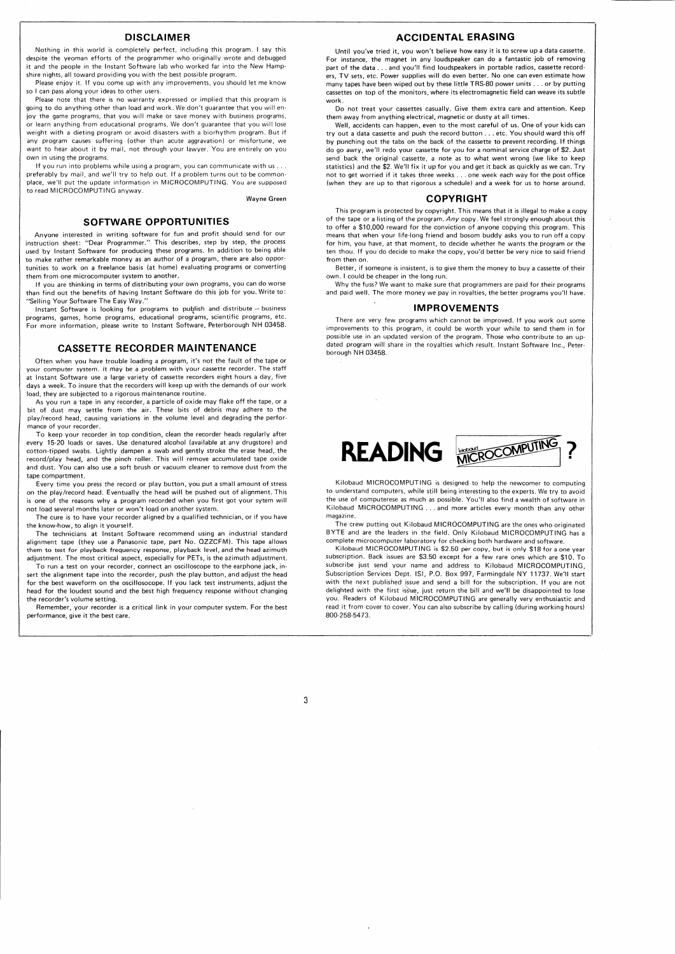#### DISCLAIMER

Nothing in this world is completely perfect, including this program. I say this despite the yeoman efforts of the programmer who originally wrote and debugged it and the people in the Instant Software lab who worked far into the New Hampshire nights, all toward providing you with the best possible program.

Please enjoy it. If you come up with any improvements, you should let me know so I can pass along your ideas to other users. Please note that there is no warranty expressed or implied that this program is

going to do anything other than load and work. We don't guarantee that you will enjoy the game programs, that you will make or save money with business programs, or learn anything from educational programs. We don't guarantee that you will lose weight with a dieting program or avoid disasters with a biorhythm program. But if any program causes suffering (other than acute aggravation) or misfortune, we want to hear about it by mail, not through your lawyer. You are entirely on you own in using the programs.

If you run into problems while using a program, you can communicate with us... preferably by mail, and we'll try to help out. If a problem turns out to be common· place, we'U put the update information in MICROCOMPUTING. You are supposed to read MICROCOMPUTING anyway.

Wayne Green

#### SOFTWARE OPPORTUNITIES

Anyone interested in writing software for fun and profit should send for our instruction sheet: "Dear Programmer." This describes, step by step, the process used by Instant Software for producing these programs. In addition to being able to make rather remarkable money as an author of a Program, there are also opportunities to work on a freelance basis (at home) evaluating programs or converting them from one microcomputer system to another.

If you are thinking in terms of distributing your own programs, you can do worse than find out the benefits of having Instant Software do this job for you. Write to:

"Selling Your Software The Easy Way." Instant Software is looking for programs to puQiish and distribute- business programs, games, home programs, educational programs, scientific programs, etc.<br>For more information, please write to Instant Software, Peterborough NH 03458.

#### CASSETTE RECORDER MAINTENANCE

Often when you have trouble loading a program, it's not the fault of the tape or your computer system. it may be a problem with your cassette recorder. The staff at Instant Software use a large variety of cassette recorders eight hours a day, five days a week. To insure that the recorders will keep up with the demands of our work load, they are subjected to a rigorous maintenance routine.

As you run a tape in any recorder, a particle of oxide may flake off the tape, or a bit of dust may settle from the air. These bits of debris may adhere to the play/record head, causing variations in the volume level and degrading the performance of your recorder.

To keep your recorder in top condition, clean the recorder heads regularly after every 15-20 loads or saves. Use denatured alcohol (available at any drugstore) and cotton-tipped swabs. Lightly dampen a swab and gently stroke the erase head, the record/play head, and the pinch roller. This will remove accumulated tape oxide and dust. You can also use a soft brush or vacuum cleaner to remove dust from the tape compartment.

Every time you press the record or play button, you put a small amount of stress on the play/record head. Eventually the head will be pushed out of alignment. This is one of the reasons why a program recorded when you first got your sytem will not load several months later or won't load on another system.

The cure is to have your recorder aligned by a qualified technician, or if you have the know-how, to align it yourself.

The technicians at Instant Software recommend using an industrial standard alignment tape (they use a Panasonic tape, part No. OZZCFM). This tape allows them to test for playback frequency response, playback level, and the head azimuth adjustment. The most critical aspect, especially for PETs, is the azimuth adjustment.

To run a test on your recorder, connect an oscilloscope to the earphone jack, insert the alignment tape into the recorder, push the play button, and adjust the head for the best waveform on the oscillosocope. If you lack test instruments, adjust the head for the loudest sound and the best high frequency response without changing the recorder's volume setting.

Remember, your recorder is a critical link in your computer system. For the best performance, give it the best care.

#### ACCIDENTAL ERASING

Until you've tried it, you won't believe how easy it is to screw up a data cassette. For instance, the magnet in any loudspeaker can do a fantastic job of removing part of the data . . . and you'll find loudspeakers in portable radios, cassette recorders, TV sets, etc. Power supplies will do even better. No one can even estimate how many tapes have been wiped out by these little TRS-80 power units ... or by putting cassettes on top of the monitors, where its electromagnetic field can weave its subtle work.

Do not treat your cassettes casually. Give them extra care and attention. Keep them away from anything electrical, magnetic or dusty at all times.

Well, accidents can happen, even to the most careful of us. One of your kids can try out a data cassette and push the record button ... etc. You should ward this off by punching out the tabs on the back of the cassette to prevent recording. If things do go awry, we'll redo your cassette for you for a nominal service charge of \$2. Just send back the original cassette, a note as to what went wrong (we like to keep statistics) and the \$2. We'll fix it up for you and get it back as quickly as we can. Try not to get worried if it takes three weeks ... one week each way for the post office (when they are up to that rigorous a schedule) and a week for us to horse around.

### COPYRIGHT

This program is protected by copyright. This means that it is illegal to make a copy of the tape or a listing of the program. Any copy. We feel strongly enough about this to offer a \$10,000 reward for the conviction of anyone copying this program. This means that when your life-long friend and bosom buddy asks you to run off a copy for him, you have, at that moment, to decide whether he wants the program or the ten thou. If you do decide to make the copy, you'd better be very nice to said friend from then on.

Better, if someone is insistent, is to give them the money to buy a cassette of their

own. I could be cheaper in the long run. Why the fuss? We want to make sure that programmers are paid for their programs and paid well. The more money we pay in royalties, the better programs you'll have.

#### IMPROVEMENTS

There are very few programs which cannot be improved. If you work out some improvements to this program, it could be worth your while to send them in for possible use in an updated version of the program. Those who contribute to an updated program will share in the royalties which result. Instant Software Inc., Peterborough NH 03458.





Kilobaud MICROCOMPUTING is designed to help the newcomer to computing to understand computers, while still being interesting to the experts. We try to avoid the use of computerese as much as possible. You'll also find a wealth of software in Kilobaud MICROCOMPUTING ... and more articles every month than any other magazine.

The crew putting out Kilobaud MICROCOMPUTING are the ones who originated BYTE and are the leaders in the field. Only Kilobaud MICROCOMPUTING has a complete microcomputer laboratory for checking both hardware and software.

Kilobaud MICROCOMPUTING is \$2.50 per copy, but is only \$18 for a one year subscription. Back issues are \$3.50 except for a few rare ones which are \$10. To subscribe just send your name and address to Kilobaud MICROCOMPUTING, Subscription Services Dept. lSI, P.O. Box 997, Farmingdale NY 11737. We'll start with the next published issue and send a bill for the subscription. If you are not delighted with the first issue, just return the bill and we'll be disappointed to lose you. Readers of Kilobaud MICROCOMPUTING are generally very enthusiastic and read it from cover to cover. You can also subscribe by calling (during working hours) 800-258-5473.

3